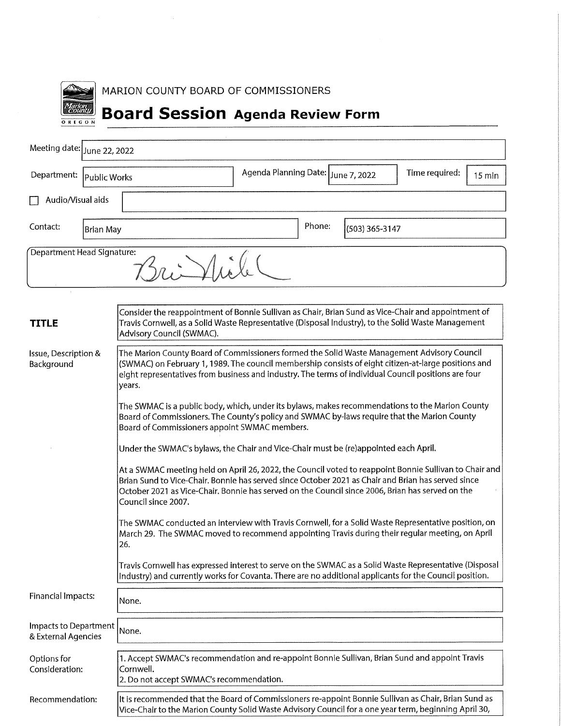| <b>REG</b><br>N<br>Ō<br>r |
|---------------------------|

MARION COUNTY BOARD OF COMMISSIONERS

# **Board Session Agenda Review Form**

| Meeting date: June 22, 2022                  |                                                                                                                                                                                                                                                                                                                                                                                                                                                                                                                                                                                                                                                                                                                                                                                                                                                                                                                                                                                                                                                                                                                                                                                                                                                                                                                                                                                                                                                     |                                                                          |  |  |  |  |
|----------------------------------------------|-----------------------------------------------------------------------------------------------------------------------------------------------------------------------------------------------------------------------------------------------------------------------------------------------------------------------------------------------------------------------------------------------------------------------------------------------------------------------------------------------------------------------------------------------------------------------------------------------------------------------------------------------------------------------------------------------------------------------------------------------------------------------------------------------------------------------------------------------------------------------------------------------------------------------------------------------------------------------------------------------------------------------------------------------------------------------------------------------------------------------------------------------------------------------------------------------------------------------------------------------------------------------------------------------------------------------------------------------------------------------------------------------------------------------------------------------------|--------------------------------------------------------------------------|--|--|--|--|
| Department:                                  | Public Works                                                                                                                                                                                                                                                                                                                                                                                                                                                                                                                                                                                                                                                                                                                                                                                                                                                                                                                                                                                                                                                                                                                                                                                                                                                                                                                                                                                                                                        | Agenda Planning Date: June 7, 2022<br>Time required:<br>$15 \text{ min}$ |  |  |  |  |
| Audio/Visual aids                            |                                                                                                                                                                                                                                                                                                                                                                                                                                                                                                                                                                                                                                                                                                                                                                                                                                                                                                                                                                                                                                                                                                                                                                                                                                                                                                                                                                                                                                                     |                                                                          |  |  |  |  |
| Contact:                                     | Phone:<br>(503) 365-3147<br><b>Brian May</b>                                                                                                                                                                                                                                                                                                                                                                                                                                                                                                                                                                                                                                                                                                                                                                                                                                                                                                                                                                                                                                                                                                                                                                                                                                                                                                                                                                                                        |                                                                          |  |  |  |  |
| Department Head Signature:                   |                                                                                                                                                                                                                                                                                                                                                                                                                                                                                                                                                                                                                                                                                                                                                                                                                                                                                                                                                                                                                                                                                                                                                                                                                                                                                                                                                                                                                                                     |                                                                          |  |  |  |  |
| <b>TITLE</b>                                 | Consider the reappointment of Bonnie Sullivan as Chair, Brian Sund as Vice-Chair and appointment of<br>Travis Cornwell, as a Solid Waste Representative (Disposal Industry), to the Solid Waste Management<br>Advisory Council (SWMAC).                                                                                                                                                                                                                                                                                                                                                                                                                                                                                                                                                                                                                                                                                                                                                                                                                                                                                                                                                                                                                                                                                                                                                                                                             |                                                                          |  |  |  |  |
| Issue, Description &<br>Background           | The Marion County Board of Commissioners formed the Solid Waste Management Advisory Council<br>(SWMAC) on February 1, 1989. The council membership consists of eight citizen-at-large positions and<br>eight representatives from business and industry. The terms of individual Council positions are four<br>years.<br>The SWMAC is a public body, which, under its bylaws, makes recommendations to the Marion County<br>Board of Commissioners. The County's policy and SWMAC by-laws require that the Marion County<br>Board of Commissioners appoint SWMAC members.<br>Under the SWMAC's bylaws, the Chair and Vice-Chair must be (re)appointed each April.<br>At a SWMAC meeting held on April 26, 2022, the Council voted to reappoint Bonnie Sullivan to Chair and<br>Brian Sund to Vice-Chair, Bonnie has served since October 2021 as Chair and Brian has served since<br>October 2021 as Vice-Chair. Bonnie has served on the Council since 2006, Brian has served on the<br>Council since 2007.<br>The SWMAC conducted an interview with Travis Cornwell, for a Solid Waste Representative position, on<br>March 29. The SWMAC moved to recommend appointing Travis during their regular meeting, on April<br>26.<br>Travis Cornwell has expressed interest to serve on the SWMAC as a Solid Waste Representative (Disposal<br>Industry) and currently works for Covanta. There are no additional applicants for the Council position. |                                                                          |  |  |  |  |
| <b>Financial Impacts:</b>                    | None.                                                                                                                                                                                                                                                                                                                                                                                                                                                                                                                                                                                                                                                                                                                                                                                                                                                                                                                                                                                                                                                                                                                                                                                                                                                                                                                                                                                                                                               |                                                                          |  |  |  |  |
| Impacts to Department<br>& External Agencies | None.                                                                                                                                                                                                                                                                                                                                                                                                                                                                                                                                                                                                                                                                                                                                                                                                                                                                                                                                                                                                                                                                                                                                                                                                                                                                                                                                                                                                                                               |                                                                          |  |  |  |  |
| Options for<br>Consideration:                | 1. Accept SWMAC's recommendation and re-appoint Bonnie Sullivan, Brian Sund and appoint Travis<br>Cornwell.<br>2. Do not accept SWMAC's recommendation.                                                                                                                                                                                                                                                                                                                                                                                                                                                                                                                                                                                                                                                                                                                                                                                                                                                                                                                                                                                                                                                                                                                                                                                                                                                                                             |                                                                          |  |  |  |  |

Recommendation:

It is recommended that the Board of Commissioners re-appoint Bonnie Sullivan as Chair, Brian Sund as Vice-Chair to the Marion County Solid Waste Advisory Council for a one year term, beginning April 30,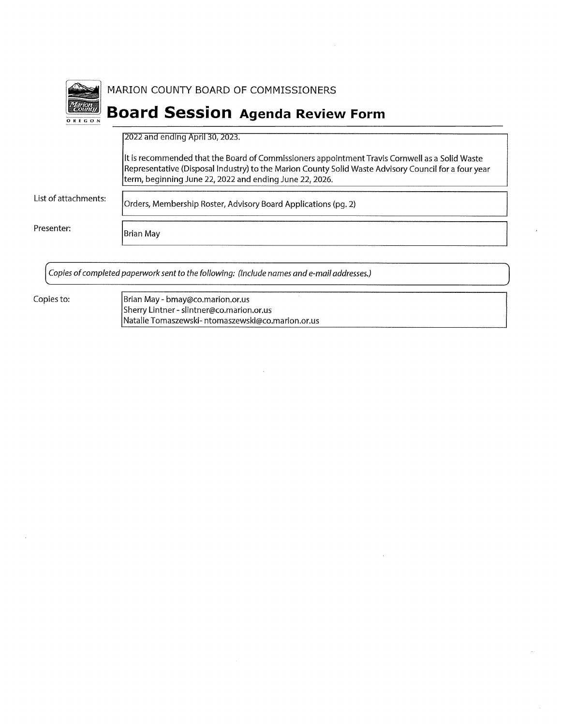|                      | MARION COUNTY BOARD OF COMMISSIONERS                                                                                                                                                                                                                              |
|----------------------|-------------------------------------------------------------------------------------------------------------------------------------------------------------------------------------------------------------------------------------------------------------------|
| <b>OREGON</b>        | <b>Board Session Agenda Review Form</b>                                                                                                                                                                                                                           |
|                      | [2022 and ending April 30, 2023.]                                                                                                                                                                                                                                 |
|                      | It is recommended that the Board of Commissioners appointment Travis Cornwell as a Solid Waste<br>Representative (Disposal Industry) to the Marion County Solid Waste Advisory Council for a four year<br>term, beginning June 22, 2022 and ending June 22, 2026. |
| List of attachments: | Orders, Membership Roster, Advisory Board Applications (pg. 2)                                                                                                                                                                                                    |
| Presenter:           | Brian May                                                                                                                                                                                                                                                         |
|                      |                                                                                                                                                                                                                                                                   |

Copies of completed paperwork sent to the following: (Include names and e-mail addresses.)

Copies to:

 $\bar{z}$ 

Brian May - bmay@co.marion.or.us<br>Sherry Lintner - slintner@co.marion.or.us<br>Natalie Tomaszewski- ntomaszewski@co.marion.or.us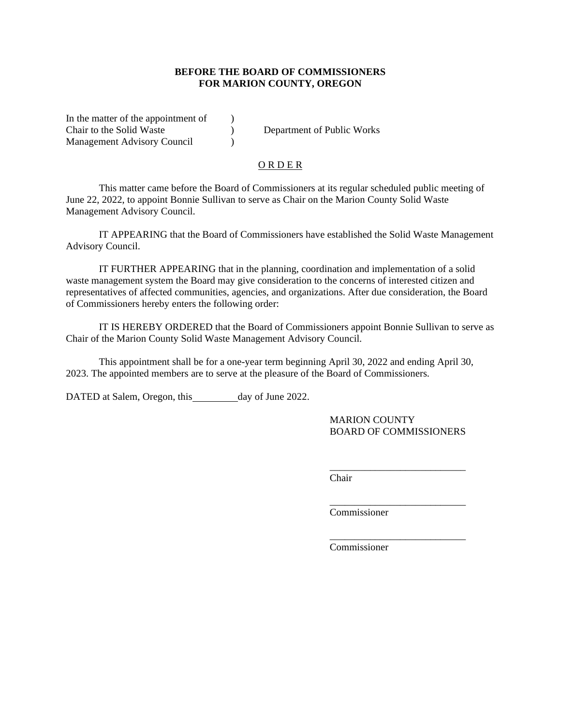#### **BEFORE THE BOARD OF COMMISSIONERS FOR MARION COUNTY, OREGON**

In the matter of the appointment of  $\qquad$  ) Chair to the Solid Waste ) Department of Public Works Management Advisory Council (1997)

#### O R D E R

This matter came before the Board of Commissioners at its regular scheduled public meeting of June 22, 2022, to appoint Bonnie Sullivan to serve as Chair on the Marion County Solid Waste Management Advisory Council.

IT APPEARING that the Board of Commissioners have established the Solid Waste Management Advisory Council.

IT FURTHER APPEARING that in the planning, coordination and implementation of a solid waste management system the Board may give consideration to the concerns of interested citizen and representatives of affected communities, agencies, and organizations. After due consideration, the Board of Commissioners hereby enters the following order:

IT IS HEREBY ORDERED that the Board of Commissioners appoint Bonnie Sullivan to serve as Chair of the Marion County Solid Waste Management Advisory Council.

This appointment shall be for a one-year term beginning April 30, 2022 and ending April 30, 2023. The appointed members are to serve at the pleasure of the Board of Commissioners.

DATED at Salem, Oregon, this day of June 2022.

MARION COUNTY BOARD OF COMMISSIONERS

\_\_\_\_\_\_\_\_\_\_\_\_\_\_\_\_\_\_\_\_\_\_\_\_\_\_\_

\_\_\_\_\_\_\_\_\_\_\_\_\_\_\_\_\_\_\_\_\_\_\_\_\_\_\_

\_\_\_\_\_\_\_\_\_\_\_\_\_\_\_\_\_\_\_\_\_\_\_\_\_\_\_

Chair

Commissioner

Commissioner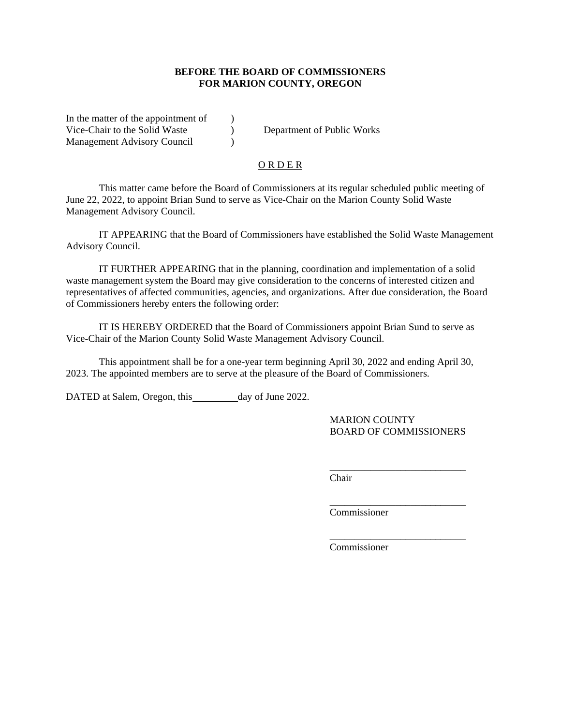#### **BEFORE THE BOARD OF COMMISSIONERS FOR MARION COUNTY, OREGON**

In the matter of the appointment of  $\qquad$ ) Vice-Chair to the Solid Waste (b) Department of Public Works Management Advisory Council (1997)

#### O R D E R

This matter came before the Board of Commissioners at its regular scheduled public meeting of June 22, 2022, to appoint Brian Sund to serve as Vice-Chair on the Marion County Solid Waste Management Advisory Council.

IT APPEARING that the Board of Commissioners have established the Solid Waste Management Advisory Council.

IT FURTHER APPEARING that in the planning, coordination and implementation of a solid waste management system the Board may give consideration to the concerns of interested citizen and representatives of affected communities, agencies, and organizations. After due consideration, the Board of Commissioners hereby enters the following order:

IT IS HEREBY ORDERED that the Board of Commissioners appoint Brian Sund to serve as Vice-Chair of the Marion County Solid Waste Management Advisory Council.

This appointment shall be for a one-year term beginning April 30, 2022 and ending April 30, 2023. The appointed members are to serve at the pleasure of the Board of Commissioners.

DATED at Salem, Oregon, this day of June 2022.

MARION COUNTY BOARD OF COMMISSIONERS

\_\_\_\_\_\_\_\_\_\_\_\_\_\_\_\_\_\_\_\_\_\_\_\_\_\_\_

\_\_\_\_\_\_\_\_\_\_\_\_\_\_\_\_\_\_\_\_\_\_\_\_\_\_\_

\_\_\_\_\_\_\_\_\_\_\_\_\_\_\_\_\_\_\_\_\_\_\_\_\_\_\_

Chair

Commissioner

Commissioner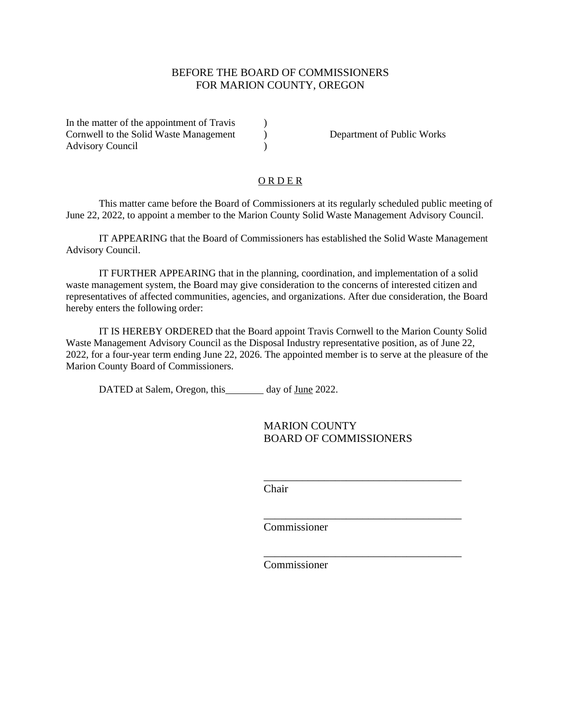## BEFORE THE BOARD OF COMMISSIONERS FOR MARION COUNTY, OREGON

In the matter of the appointment of Travis (1) Cornwell to the Solid Waste Management (a) Department of Public Works Advisory Council (1992)

### **ORDER**

This matter came before the Board of Commissioners at its regularly scheduled public meeting of June 22, 2022, to appoint a member to the Marion County Solid Waste Management Advisory Council.

IT APPEARING that the Board of Commissioners has established the Solid Waste Management Advisory Council.

IT FURTHER APPEARING that in the planning, coordination, and implementation of a solid waste management system, the Board may give consideration to the concerns of interested citizen and representatives of affected communities, agencies, and organizations. After due consideration, the Board hereby enters the following order:

IT IS HEREBY ORDERED that the Board appoint Travis Cornwell to the Marion County Solid Waste Management Advisory Council as the Disposal Industry representative position, as of June 22, 2022, for a four-year term ending June 22, 2026. The appointed member is to serve at the pleasure of the Marion County Board of Commissioners.

DATED at Salem, Oregon, this day of June 2022.

MARION COUNTY BOARD OF COMMISSIONERS

\_\_\_\_\_\_\_\_\_\_\_\_\_\_\_\_\_\_\_\_\_\_\_\_\_\_\_\_\_\_\_\_\_\_\_\_

\_\_\_\_\_\_\_\_\_\_\_\_\_\_\_\_\_\_\_\_\_\_\_\_\_\_\_\_\_\_\_\_\_\_\_\_

\_\_\_\_\_\_\_\_\_\_\_\_\_\_\_\_\_\_\_\_\_\_\_\_\_\_\_\_\_\_\_\_\_\_\_\_

Chair

Commissioner

Commissioner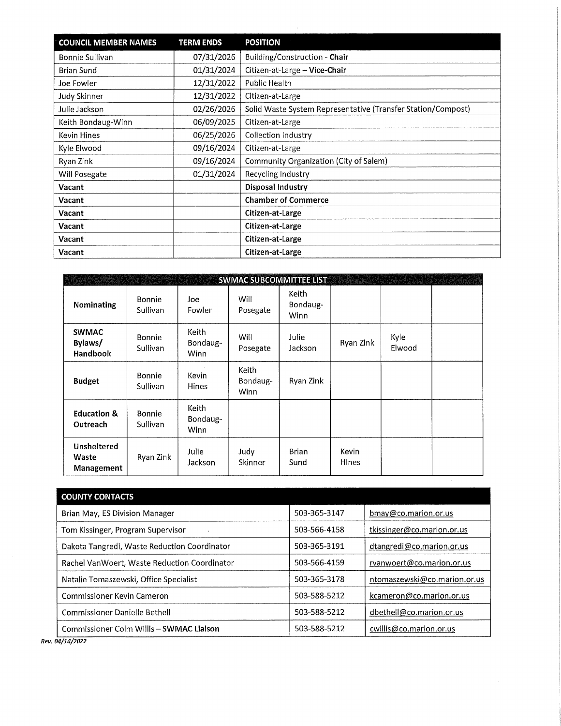| <b>COUNCIL MEMBER NAMES</b> | <b>TERM ENDS</b> | <b>POSITION</b>                                              |
|-----------------------------|------------------|--------------------------------------------------------------|
| Bonnie Sullivan             | 07/31/2026       | Building/Construction - Chair                                |
| <b>Brian Sund</b>           | 01/31/2024       | Citizen-at-Large - Vice-Chair                                |
| Joe Fowler                  | 12/31/2022       | <b>Public Health</b>                                         |
| Judy Skinner                | 12/31/2022       | Citizen-at-Large                                             |
| Julie Jackson               | 02/26/2026       | Solid Waste System Representative (Transfer Station/Compost) |
| Keith Bondaug-Winn          | 06/09/2025       | Citizen-at-Large                                             |
| <b>Kevin Hines</b>          | 06/25/2026       | Collection Industry                                          |
| Kyle Elwood                 | 09/16/2024       | Citizen-at-Large                                             |
| Ryan Zink                   | 09/16/2024       | Community Organization (City of Salem)                       |
| Will Posegate               | 01/31/2024       | Recycling Industry                                           |
| Vacant                      |                  | <b>Disposal Industry</b>                                     |
| Vacant                      |                  | <b>Chamber of Commerce</b>                                   |
| Vacant                      |                  | Citizen-at-Large                                             |
| Vacant                      |                  | Citizen-at-Large                                             |
| Vacant                      |                  | Citizen-at-Large                                             |
| Vacant                      |                  | Citizen-at-Large                                             |

 $\mathcal{A}^{\mathcal{A}}$ 

| <b>SWMAC SUBCOMMITTEE LIST</b>            |                           |                                  |                           |                                  |                        |                |  |
|-------------------------------------------|---------------------------|----------------------------------|---------------------------|----------------------------------|------------------------|----------------|--|
| <b>Nominating</b>                         | <b>Bonnie</b><br>Sullivan | Joe<br>Fowler                    | Will<br>Posegate          | Keith<br>Bondaug-<br><b>Winn</b> |                        |                |  |
| <b>SWMAC</b><br>Bylaws/<br>Handbook       | <b>Bonnie</b><br>Sullivan | Keith<br>Bondaug-<br><b>Winn</b> | Will<br>Posegate          | Julie<br>Jackson                 | Ryan Zink              | Kyle<br>Elwood |  |
| <b>Budget</b>                             | Bonnie<br>Sullivan        | Kevin<br><b>Hines</b>            | Keith<br>Bondaug-<br>Winn | Ryan Zink                        |                        |                |  |
| <b>Education &amp;</b><br>Outreach        | Bonnie<br><b>Sullivan</b> | Keith<br>Bondaug-<br>Winn        |                           |                                  |                        |                |  |
| <b>Unsheltered</b><br>Waste<br>Management | Ryan Zink                 | Julie<br>Jackson                 | Judy<br>Skinner           | Brian<br>Sund                    | Kevin<br><b>H</b> lnes |                |  |

| <b>COUNTY CONTACTS</b>                       |              |                              |
|----------------------------------------------|--------------|------------------------------|
| Brian May, ES Division Manager               | 503-365-3147 | bmay@co.marion.or.us         |
| Tom Kissinger, Program Supervisor            | 503-566-4158 | tkissinger@co.marion.or.us   |
| Dakota Tangredi, Waste Reduction Coordinator | 503-365-3191 | dtangredi@co.marion.or.us    |
| Rachel VanWoert, Waste Reduction Coordinator | 503-566-4159 | rvanwoert@co.marion.or.us    |
| Natalie Tomaszewski, Office Specialist       | 503-365-3178 | ntomaszewski@co.marion.or.us |
| Commissioner Kevin Cameron                   | 503-588-5212 | kcameron@co.marion.or.us     |
| Commissioner Danielle Bethell                | 503-588-5212 | dbethell@co.marion.or.us     |
| Commissioner Colm Willis - SWMAC Liaison     | 503-588-5212 | cwillis@co.marion.or.us      |

Rev. 04/14/2022

 $\sim$   $\sim$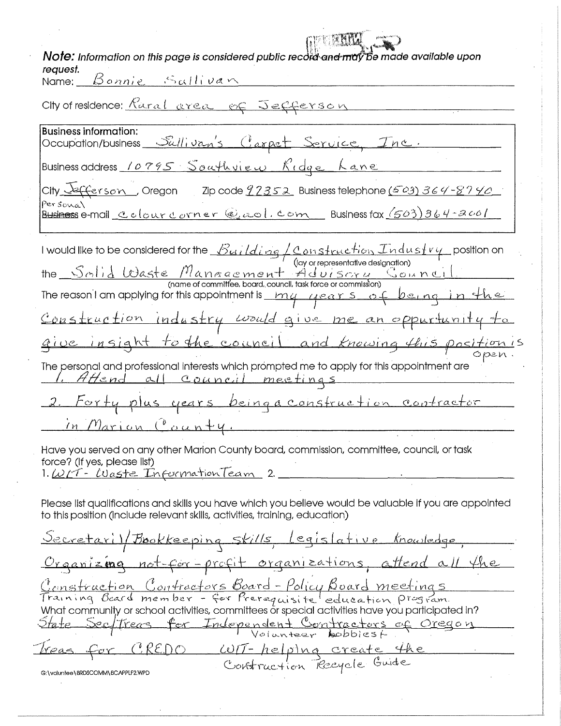| Note: Information on this page is considered public record and may be made available upon<br>request.                                                                                                                                                                                                                                                                                                         |
|---------------------------------------------------------------------------------------------------------------------------------------------------------------------------------------------------------------------------------------------------------------------------------------------------------------------------------------------------------------------------------------------------------------|
| Name: Bonnie Sullivan                                                                                                                                                                                                                                                                                                                                                                                         |
| City of residence: Karal area of Jefferson                                                                                                                                                                                                                                                                                                                                                                    |
| <b>Business information:</b>                                                                                                                                                                                                                                                                                                                                                                                  |
| Occupation/business Sullivan's Carpet Service, Inc.                                                                                                                                                                                                                                                                                                                                                           |
| Business address 10795 Southview Ridge Lane                                                                                                                                                                                                                                                                                                                                                                   |
| City $\sqrt{\epsilon}$ ( $\epsilon$ erson), Oregon zip code $\frac{92352}{2}$ Business telephone (503) 364-8740.                                                                                                                                                                                                                                                                                              |
| Personal<br><u>Business</u> e-mail <u>Colour corner @aol.com</u> Business fax (503)364-2001                                                                                                                                                                                                                                                                                                                   |
| I would like to be considered for the $\mathcal{B}uilding\mathcal{L} \mathfrak{os}$ . Construction $Industv\psi$ position on                                                                                                                                                                                                                                                                                  |
| (lay or representative designation)<br>the <u>Solid Waste</u> Management Adulsory Council the                                                                                                                                                                                                                                                                                                                 |
| The reason I am applying for this appointment is $\begin{array}{r}$ $\begin{array}{ccc} & \text{if} & \text{if} & \text{if} & \text{if} & \text{if} & \text{if} & \text{if} & \text{if} & \text{if} & \text{if} & \text{if} & \text{if} & \text{if} & \text{if} & \text{if} & \text{if} & \text{if} & \text{if} & \text{if} & \text{if} & \text{if} & \text{if} & \text{if} & \text{if} & \text{if} & \text{$ |
| Construction industry would give me an oppurtunity to                                                                                                                                                                                                                                                                                                                                                         |
| give insight to the council and knowing this position is                                                                                                                                                                                                                                                                                                                                                      |
| The personal and professional interests which prompted me to apply for this appointment are<br>Attend all council meetings                                                                                                                                                                                                                                                                                    |
| 2. Forty plus years being a construction contractor                                                                                                                                                                                                                                                                                                                                                           |
| in Marion County.                                                                                                                                                                                                                                                                                                                                                                                             |
| Have you served on any other Marion County board, commission, committee, council, or task<br>force? (If yes, please list)<br>1. <u>W/T- Waste InformationTeam</u> 2.                                                                                                                                                                                                                                          |
| Please list qualifications and skills you have which you believe would be valuable if you are appointed<br>to this position (include relevant skills, activities, training, education)                                                                                                                                                                                                                        |
| <u>Secretaril/Bookkeeping skills, legislative knowledge</u>                                                                                                                                                                                                                                                                                                                                                   |
| Organizing not-for-profit organizations, attend all the                                                                                                                                                                                                                                                                                                                                                       |
| <u>Construction Contractors Board-Policy Board meetings</u><br>Training Board member - for Prerequisite education program                                                                                                                                                                                                                                                                                     |
| What community or school activities, committees or special activities have you participated in?                                                                                                                                                                                                                                                                                                               |
| State Sectiveas for Independent Contractors of Oregon                                                                                                                                                                                                                                                                                                                                                         |
| PREDO WIT- helping create the<br>reas                                                                                                                                                                                                                                                                                                                                                                         |
| G:\voluntee\BRDSCOMM\BCAPPLF2.WPD                                                                                                                                                                                                                                                                                                                                                                             |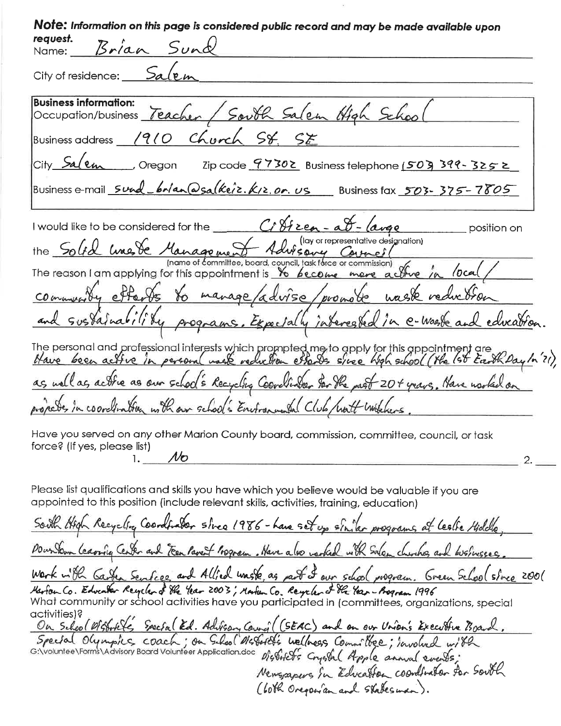| Note: Information on this page is considered public record and may be made available upon<br>request.                                                                                           |
|-------------------------------------------------------------------------------------------------------------------------------------------------------------------------------------------------|
| Name: Brian Sund                                                                                                                                                                                |
| City of residence: Salen                                                                                                                                                                        |
| <b>Business information:</b><br>Occupation/business Teacher / South Salem High Schoo                                                                                                            |
| Business address 1910 Church St. SE                                                                                                                                                             |
| City Salem Cregon Zip code 97302 Business telephone 1503 399-3252                                                                                                                               |
| Business e-mail sund brian @salkeiz. K12.0r. us Business fax 503-375-7805                                                                                                                       |
| I would like to be considered for the $C_i$ $\frac{\partial f}{\partial z}$ $\frac{a}{\partial z}$ $\frac{a}{\partial x}$ $\frac{b}{\partial y}$ position on                                    |
| the Solid une de Management Advisery Council<br>committee, board, council, task force or commission)                                                                                            |
| The reason I am applying for this appointment is $\frac{1}{2}$ become more active in local,                                                                                                     |
| community efforts to manage/advise/promote waste reduction                                                                                                                                      |
| and sustainability programs. Expectally interested in e-waste and education.                                                                                                                    |
| The personal and professional interests which prompted me to apply for this appointment are<br>Have been active in personal mask reduction estables since high school (the 1st Easth Day in 21) |
| as well as actric as our school's Recycling Coordinater for the past 20+ years. Have norther on                                                                                                 |
| propects in coordination with our school's Environmental Club/watt installers                                                                                                                   |
| Have you served on any other Marion County board, commission, committee, council, or task                                                                                                       |
| force? (If yes, please list)<br>$1.$ No                                                                                                                                                         |
| Please list qualifications and skills you have which you believe would be valuable if you are<br>appointed to this position (include relevant skills, activities, training, education)          |
| South High Recycling Coordinator since 1986 - have set up siniter programs at lealie Hiddle,                                                                                                    |

Downdown leaving Center and Feen Parent Program. Have also varked with Salem churches, and businesses. Work with Garten Senfece and Allied waste, as part I own school program. Green School since 2001

Marton Co. Education Reycland the Year 2003; Martin Co. Reycland the Year-Bogram 1996<br>What community or school activities have you participated in (committees, organizations, special activities)?

activities)?<br>On School Wistorit's Special Ed. Advisory Council (SEAC) and on our Union's Executive Board.

Newsmapers in Education coordinator for South

(60th Oregonian and Statesman).